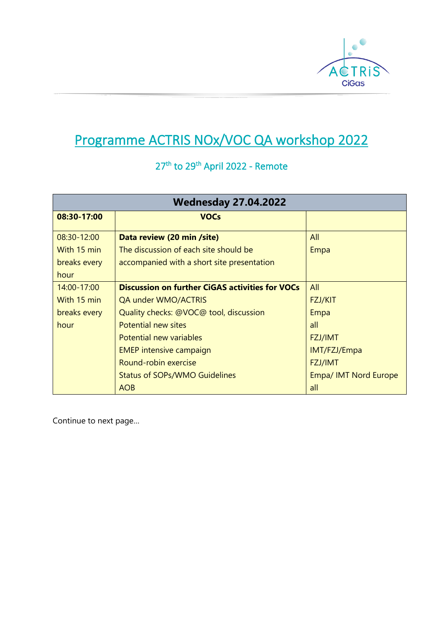

## Programme ACTRIS NOx/VOC QA workshop 2022

## 27<sup>th</sup> to 29<sup>th</sup> April 2022 - Remote

| <b>Wednesday 27.04.2022</b> |                                                 |                       |  |
|-----------------------------|-------------------------------------------------|-----------------------|--|
| 08:30-17:00                 | <b>VOCs</b>                                     |                       |  |
| 08:30-12:00                 | Data review (20 min /site)                      | All                   |  |
| With 15 min                 | The discussion of each site should be           | Empa                  |  |
| breaks every                | accompanied with a short site presentation      |                       |  |
| hour                        |                                                 |                       |  |
| 14:00-17:00                 | Discussion on further CiGAS activities for VOCs | All                   |  |
| With 15 min                 | QA under WMO/ACTRIS                             | <b>FZJ/KIT</b>        |  |
| breaks every                | Quality checks: @VOC@ tool, discussion          | Empa                  |  |
| hour                        | Potential new sites                             | all                   |  |
|                             | <b>Potential new variables</b>                  | FZJ/IMT               |  |
|                             | <b>EMEP</b> intensive campaign                  | IMT/FZJ/Empa          |  |
|                             | Round-robin exercise                            | <b>FZJ/IMT</b>        |  |
|                             | <b>Status of SOPs/WMO Guidelines</b>            | Empa/ IMT Nord Europe |  |
|                             | <b>AOB</b>                                      | all                   |  |

Continue to next page…